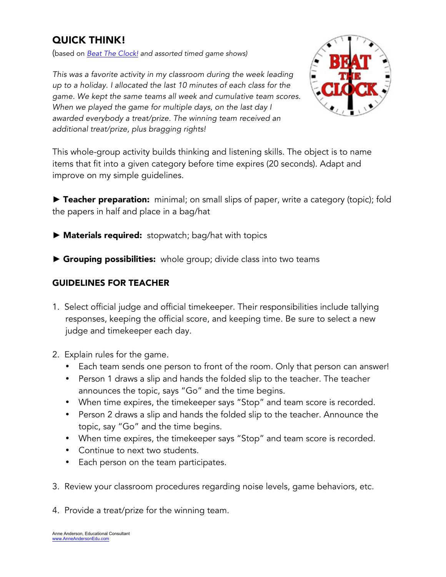## QUICK THINK!

(based on *Beat The Clock! and assorted timed game shows)*

*This was a favorite activity in my classroom during the week leading up to a holiday. I allocated the last 10 minutes of each class for the game. We kept the same teams all week and cumulative team scores. When we played the game for multiple days, on the last day I awarded everybody a treat/prize. The winning team received an additional treat/prize, plus bragging rights!*

This whole-group activity builds thinking and listening skills. The object is to name items that fit into a given category before time expires (20 seconds). Adapt and improve on my simple guidelines.

**►** Teacher preparation: minimal; on small slips of paper, write a category (topic); fold the papers in half and place in a bag/hat

- **►** Materials required: stopwatch; bag/hat with topics
- ▶ Grouping possibilities: whole group; divide class into two teams

## GUIDELINES FOR TEACHER

- 1. Select official judge and official timekeeper. Their responsibilities include tallying responses, keeping the official score, and keeping time. Be sure to select a new judge and timekeeper each day.
- 2. Explain rules for the game.
	- Each team sends one person to front of the room. Only that person can answer!
	- Person 1 draws a slip and hands the folded slip to the teacher. The teacher announces the topic, says "Go" and the time begins.
	- When time expires, the timekeeper says "Stop" and team score is recorded.
	- Person 2 draws a slip and hands the folded slip to the teacher. Announce the topic, say "Go" and the time begins.
	- When time expires, the timekeeper says "Stop" and team score is recorded.
	- Continue to next two students.
	- Each person on the team participates.
- 3. Review your classroom procedures regarding noise levels, game behaviors, etc.
- 4. Provide a treat/prize for the winning team.